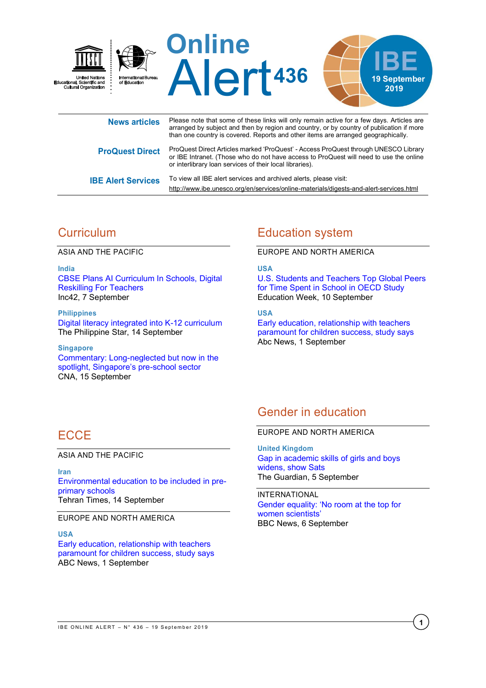

| News articles             | $\frac{1}{2}$ . Today that both of the both will be the billy tomain docted for a fort days. The close and<br>arranged by subject and then by region and country, or by country of publication if more<br>than one country is covered. Reports and other items are arranged geographically. |
|---------------------------|---------------------------------------------------------------------------------------------------------------------------------------------------------------------------------------------------------------------------------------------------------------------------------------------|
| <b>ProQuest Direct</b>    | ProQuest Direct Articles marked 'ProQuest' - Access ProQuest through UNESCO Library<br>or IBE Intranet. (Those who do not have access to ProQuest will need to use the online<br>or interlibrary loan services of their local libraries).                                                   |
| <b>IBE Alert Services</b> | To view all IBE alert services and archived alerts, please visit:<br>http://www.ibe.unesco.org/en/services/online-materials/digests-and-alert-services.html                                                                                                                                 |

# **Curriculum**

ASIA AND THE PACIFIC

**India** [CBSE Plans AI Curriculum In Schools, Digital](https://inc42.com/buzz/cbse-plans-ai-curriculum-in-schools-digital-reskilling-for-teachers/)  [Reskilling For Teachers](https://inc42.com/buzz/cbse-plans-ai-curriculum-in-schools-digital-reskilling-for-teachers/) Inc42, 7 September

**Philippines** [Digital literacy integrated into K-12 curriculum](https://www.philstar.com/headlines/2019/09/14/1951677/digital-literacy-integrated-k-12-curriculum) The Philippine Star, 14 September

**Singapore** [Commentary: Long-neglected but now in the](https://www.channelnewsasia.com/news/commentary/pre-school-enhanced-subsidies-access-moe-kindergartens-11890488)  [spotlight, Singapore's pre](https://www.channelnewsasia.com/news/commentary/pre-school-enhanced-subsidies-access-moe-kindergartens-11890488)-school sector CNA, 15 September

# Education system

#### EUROPE AND NORTH AMERICA

#### **USA**

[U.S. Students and Teachers Top Global Peers](http://blogs.edweek.org/edweek/inside-school-research/2019/09/OECD_education_at_a_glance_2019.html)  [for Time Spent in School in OECD Study](http://blogs.edweek.org/edweek/inside-school-research/2019/09/OECD_education_at_a_glance_2019.html) Education Week, 10 September

### **USA**

[Early education, relationship with teachers](https://abcnews.go.com/Health/early-education-relationship-teachers-paramount-children-success-study/story?id=65293302) [paramount for children success, study says](https://abcnews.go.com/Health/early-education-relationship-teachers-paramount-children-success-study/story?id=65293302) Abc News, 1 September

## Gender in education

#### EUROPE AND NORTH AMERICA

**United Kingdom** [Gap in academic skills of girls and boys](https://www.theguardian.com/education/2019/sep/05/gap-in-academic-skills-of-girls-and-boys-widens-show-sats)  [widens, show Sats](https://www.theguardian.com/education/2019/sep/05/gap-in-academic-skills-of-girls-and-boys-widens-show-sats) The Guardian, 5 September

INTERNATIONAL [Gender equality:](https://www.bbc.com/news/science-environment-49552812) 'No room at the top for [women scientists'](https://www.bbc.com/news/science-environment-49552812) BBC News, 6 September

# **FCCF**

ASIA AND THE PACIFIC

**Iran** [Environmental education to be included in pre](https://www.tehrantimes.com/news/440128/Environmental-education-to-be-included-in-pre-primary-schools)[primary schools](https://www.tehrantimes.com/news/440128/Environmental-education-to-be-included-in-pre-primary-schools) Tehran Times, 14 September

EUROPE AND NORTH AMERICA

**USA**

[Early education, relationship with teachers](https://abcnews.go.com/Health/early-education-relationship-teachers-paramount-children-success-study/story?id=65293302)  [paramount for children success, study says](https://abcnews.go.com/Health/early-education-relationship-teachers-paramount-children-success-study/story?id=65293302) ABC News, 1 September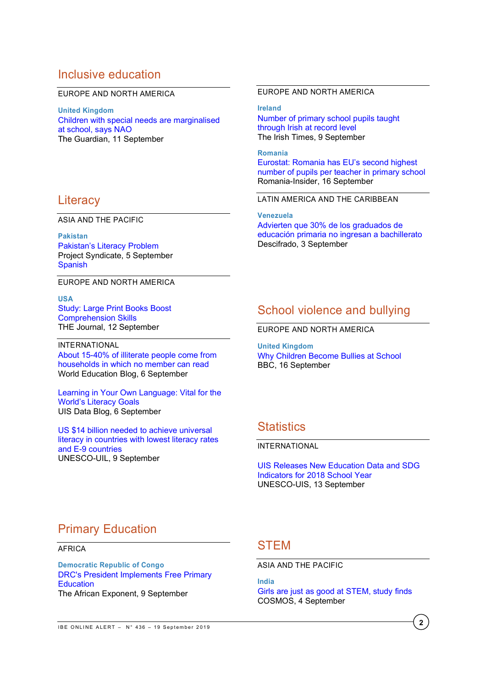### Inclusive education

#### EUROPE AND NORTH AMERICA

**United Kingdom** [Children with special needs are marginalised](https://www.theguardian.com/education/2019/sep/11/children-with-special-needs-are-marginalised-at-school-says-nao)  [at school, says NAO](https://www.theguardian.com/education/2019/sep/11/children-with-special-needs-are-marginalised-at-school-says-nao) The Guardian, 11 September

### **Literacy**

ASIA AND THE PACIFIC

**Pakistan** [Pakistan's Literacy Problem](https://www.project-syndicate.org/commentary/pakistan-literacy-campaign-improve-gender-parity-by-zara-kayani-2019-09) Project Syndicate, 5 September **[Spanish](https://www.project-syndicate.org/commentary/pakistan-literacy-campaign-improve-gender-parity-by-zara-kayani-2019-09/spanish)** 

EUROPE AND NORTH AMERICA

**USA** [Study: Large Print Books Boost](https://thejournal.com/articles/2019/09/12/study-large-print-books-boost-comprehension-skills.aspx)  [Comprehension Skills](https://thejournal.com/articles/2019/09/12/study-large-print-books-boost-comprehension-skills.aspx) THE Journal, 12 September

INTERNATIONAL [About 15-40% of illiterate people come from](https://gemreportunesco.wordpress.com/2019/09/06/about-15-40-of-illiterate-people-come-from-households-in-which-no-member-can-read/)  [households in which no member can read](https://gemreportunesco.wordpress.com/2019/09/06/about-15-40-of-illiterate-people-come-from-households-in-which-no-member-can-read/) World Education Blog, 6 September

[Learning in Your Own Language: Vital for the](https://sdg.uis.unesco.org/2019/09/06/learning-in-your-own-language-vital-for-the-worlds-literacy-goals/)  [World's Literacy Goals](https://sdg.uis.unesco.org/2019/09/06/learning-in-your-own-language-vital-for-the-worlds-literacy-goals/) UIS Data Blog, 6 September

[US \\$14 billion needed to achieve universal](http://uil.unesco.org/us-14-billion-needed-achieve-universal-literacy-countries-lowest-literacy-rates-and-e-9-countries)  [literacy in countries with lowest literacy rates](http://uil.unesco.org/us-14-billion-needed-achieve-universal-literacy-countries-lowest-literacy-rates-and-e-9-countries)  [and E-9 countries](http://uil.unesco.org/us-14-billion-needed-achieve-universal-literacy-countries-lowest-literacy-rates-and-e-9-countries) UNESCO-UIL, 9 September

#### EUROPE AND NORTH AMERICA

#### **Ireland**

[Number of primary school pupils taught](https://www.irishtimes.com/news/education/number-of-primary-school-pupils-taught-through-irish-at-record-level-1.4011570)  [through Irish at record level](https://www.irishtimes.com/news/education/number-of-primary-school-pupils-taught-through-irish-at-record-level-1.4011570) The Irish Times, 9 September

**Romania** [Eurostat: Romania has EU's second highest](https://www.romania-insider.com/ro-2017-pupil-teacher-ratio)  [number of pupils per teacher in primary school](https://www.romania-insider.com/ro-2017-pupil-teacher-ratio) Romania-Insider, 16 September

LATIN AMERICA AND THE CARIBBEAN

**Venezuela** [Advierten que 30% de los graduados de](http://www.descifrado.com/2019/09/03/advierten-que-30-de-los-graduados-de-educacion-primaria-no-ingresan-a-bachillerato/)  [educación primaria no ingresan a bachillerato](http://www.descifrado.com/2019/09/03/advierten-que-30-de-los-graduados-de-educacion-primaria-no-ingresan-a-bachillerato/) Descifrado, 3 September

## School violence and bullying

EUROPE AND NORTH AMERICA

**United Kingdom** [Why Children Become Bullies at School](http://www.bbc.com/future/story/20190913-why-some-children-become-merciless-bullies) BBC, 16 September

## **Statistics**

### INTERNATIONAL

[UIS Releases New Education Data and SDG](http://uis.unesco.org/en/news/uis-releases-new-education-data-and-sdg-4-indicators-2018-school-year)  [Indicators for 2018 School Year](http://uis.unesco.org/en/news/uis-releases-new-education-data-and-sdg-4-indicators-2018-school-year) UNESCO-UIS, 13 September

## Primary Education

AFRICA

**Democratic Republic of Congo** [DRC's President Implements Free Primary](https://www.africanexponent.com/post/10889-new-policy-aims-to-boost-the-low-enrolment-numbers)  **[Education](https://www.africanexponent.com/post/10889-new-policy-aims-to-boost-the-low-enrolment-numbers)** The African Exponent, 9 September

## **STEM**

ASIA AND THE PACIFIC

**India**

[Girls are just as good at STEM, study finds](https://cosmosmagazine.com/society/girls-are-just-as-good-at-stem-study-finds) COSMOS, 4 September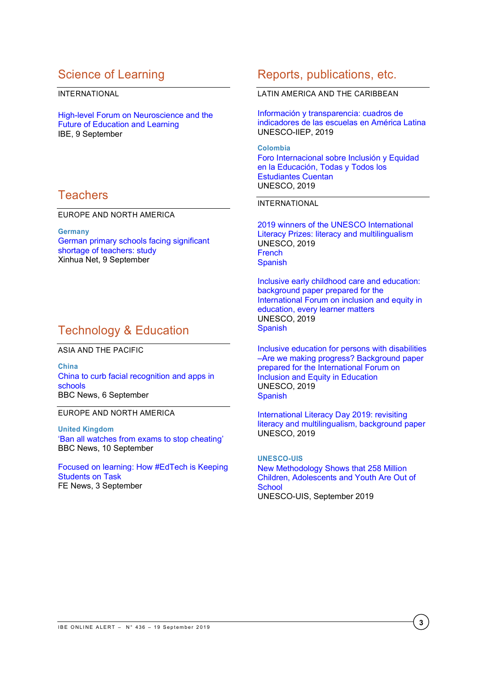# Science of Learning

INTERNATIONAL

[High-level Forum on Neuroscience and the](http://www.ibe.unesco.org/en/news/high-level-forum-neuroscience-and-future-education-and-learning)  [Future of Education and Learning](http://www.ibe.unesco.org/en/news/high-level-forum-neuroscience-and-future-education-and-learning) IBE, 9 September

## Teachers

EUROPE AND NORTH AMERICA

**Germany** [German primary schools facing significant](https://www.npr.org/2019/09/12/752341188/when-school-safety-becomes-school-surveillance?ft=nprml&f=&t=1568642731737)  [shortage of teachers: study](https://www.npr.org/2019/09/12/752341188/when-school-safety-becomes-school-surveillance?ft=nprml&f=&t=1568642731737) Xinhua Net, 9 September

# Technology & Education

ASIA AND THE PACIFIC

**China** [China to curb facial recognition and apps in](https://www.bbc.com/news/world-asia-49608459)  [schools](https://www.bbc.com/news/world-asia-49608459) BBC News, 6 September

EUROPE AND NORTH AMERICA

**United Kingdom** '[Ban all watches from exams to stop cheating](https://www.bbc.com/news/education-49639413)' BBC News, 10 September

[Focused on learning: How #EdTech is Keeping](https://www.fenews.co.uk/featured-article/34039-focused-on-learning-how-edtech-is-keeping-students-on-task)  [Students on Task](https://www.fenews.co.uk/featured-article/34039-focused-on-learning-how-edtech-is-keeping-students-on-task) FE News, 3 September

## Reports, publications, etc.

LATIN AMERICA AND THE CARIBBEAN

[Información y transparencia: cuadros de](https://unesdoc.unesco.org/ark:/48223/pf0000370474)  [indicadores de las escuelas en América Latina](https://unesdoc.unesco.org/ark:/48223/pf0000370474) UNESCO-IIEP, 2019

**Colombia** [Foro Internacional sobre Inclusión y Equidad](https://unesdoc.unesco.org/ark:/48223/pf0000370418)  [en la Educación, Todas y Todos los](https://unesdoc.unesco.org/ark:/48223/pf0000370418)  [Estudiantes Cuentan](https://unesdoc.unesco.org/ark:/48223/pf0000370418) UNESCO, 2019

### INTERNATIONAL

[2019 winners of the UNESCO International](https://unesdoc.unesco.org/ark:/48223/pf0000370503)  [Literacy Prizes: literacy and multilingualism](https://unesdoc.unesco.org/ark:/48223/pf0000370503) UNESCO, 2019 [French](https://unesdoc.unesco.org/ark:/48223/pf0000370503_fre) [Spanish](https://unesdoc.unesco.org/ark:/48223/pf0000370503_spa)

[Inclusive early childhood care and education:](https://unesdoc.unesco.org/ark:/48223/pf0000370417)  [background paper prepared for the](https://unesdoc.unesco.org/ark:/48223/pf0000370417)  International Forum on inclusion and equity in [education, every learner matters](https://unesdoc.unesco.org/ark:/48223/pf0000370417) UNESCO, 2019 **[Spanish](https://unesdoc.unesco.org/ark:/48223/pf0000370417_spa)** 

[Inclusive education for persons with disabilities](https://unesdoc.unesco.org/ark:/48223/pf0000370386)  –[Are we making progress? Background paper](https://unesdoc.unesco.org/ark:/48223/pf0000370386)  [prepared for the International Forum on](https://unesdoc.unesco.org/ark:/48223/pf0000370386)  [Inclusion and Equity in Education](https://unesdoc.unesco.org/ark:/48223/pf0000370386) UNESCO, 2019 **[Spanish](https://unesdoc.unesco.org/ark:/48223/pf0000370386_spa)** 

[International Literacy Day 2019: revisiting](https://unesdoc.unesco.org/ark:/48223/pf0000370416)  [literacy and multilingualism, background paper](https://unesdoc.unesco.org/ark:/48223/pf0000370416) UNESCO, 2019

**UNESCO-UIS** [New Methodology Shows that 258 Million](http://uis.unesco.org/sites/default/files/documents/new-methodology-shows-258-million-children-adolescents-and-youth-are-out-school.pdf)  [Children, Adolescents and Youth Are Out of](http://uis.unesco.org/sites/default/files/documents/new-methodology-shows-258-million-children-adolescents-and-youth-are-out-school.pdf)  **[School](http://uis.unesco.org/sites/default/files/documents/new-methodology-shows-258-million-children-adolescents-and-youth-are-out-school.pdf)** UNESCO-UIS, September 2019